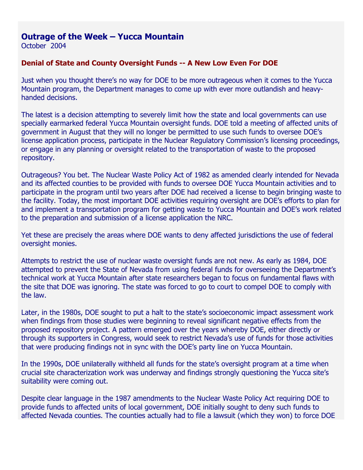## **Outrage of the Week – Yucca Mountain**

October 2004

## **Denial of State and County Oversight Funds -- A New Low Even For DOE**

Just when you thought there's no way for DOE to be more outrageous when it comes to the Yucca Mountain program, the Department manages to come up with ever more outlandish and heavyhanded decisions.

The latest is a decision attempting to severely limit how the state and local governments can use specially earmarked federal Yucca Mountain oversight funds. DOE told a meeting of affected units of government in August that they will no longer be permitted to use such funds to oversee DOE's license application process, participate in the Nuclear Regulatory Commission's licensing proceedings, or engage in any planning or oversight related to the transportation of waste to the proposed repository.

Outrageous? You bet. The Nuclear Waste Policy Act of 1982 as amended clearly intended for Nevada and its affected counties to be provided with funds to oversee DOE Yucca Mountain activities and to participate in the program until two years after DOE had received a license to begin bringing waste to the facility. Today, the most important DOE activities requiring oversight are DOE's efforts to plan for and implement a transportation program for getting waste to Yucca Mountain and DOE's work related to the preparation and submission of a license application the NRC.

Yet these are precisely the areas where DOE wants to deny affected jurisdictions the use of federal oversight monies.

Attempts to restrict the use of nuclear waste oversight funds are not new. As early as 1984, DOE attempted to prevent the State of Nevada from using federal funds for overseeing the Department's technical work at Yucca Mountain after state researchers began to focus on fundamental flaws with the site that DOE was ignoring. The state was forced to go to court to compel DOE to comply with the law.

Later, in the 1980s, DOE sought to put a halt to the state's socioeconomic impact assessment work when findings from those studies were beginning to reveal significant negative effects from the proposed repository project. A pattern emerged over the years whereby DOE, either directly or through its supporters in Congress, would seek to restrict Nevada's use of funds for those activities that were producing findings not in sync with the DOE's party line on Yucca Mountain.

In the 1990s, DOE unilaterally withheld all funds for the state's oversight program at a time when crucial site characterization work was underway and findings strongly questioning the Yucca site's suitability were coming out.

Despite clear language in the 1987 amendments to the Nuclear Waste Policy Act requiring DOE to provide funds to affected units of local government, DOE initially sought to deny such funds to affected Nevada counties. The counties actually had to file a lawsuit (which they won) to force DOE